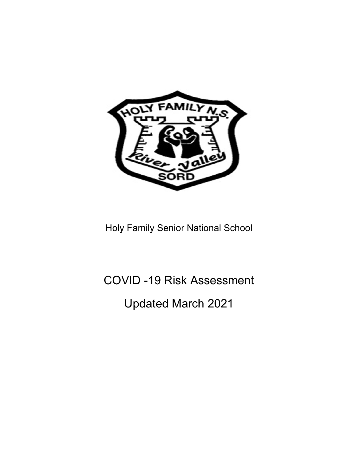

Holy Family Senior National School

## COVID -19 Risk Assessment

## Updated March 2021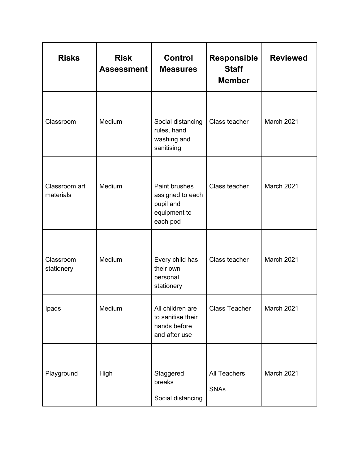| <b>Risks</b>               | <b>Risk</b><br><b>Assessment</b> | <b>Control</b><br><b>Measures</b>                                          | <b>Responsible</b><br><b>Staff</b><br><b>Member</b> | <b>Reviewed</b>   |
|----------------------------|----------------------------------|----------------------------------------------------------------------------|-----------------------------------------------------|-------------------|
| Classroom                  | Medium                           | Social distancing<br>rules, hand<br>washing and<br>sanitising              | Class teacher                                       | <b>March 2021</b> |
| Classroom art<br>materials | Medium                           | Paint brushes<br>assigned to each<br>pupil and<br>equipment to<br>each pod | Class teacher                                       | March 2021        |
| Classroom<br>stationery    | Medium                           | Every child has<br>their own<br>personal<br>stationery                     | Class teacher                                       | <b>March 2021</b> |
| Ipads                      | Medium                           | All children are<br>to sanitise their<br>hands before<br>and after use     | <b>Class Teacher</b>                                | March 2021        |
| Playground                 | High                             | Staggered<br>breaks<br>Social distancing                                   | <b>All Teachers</b><br><b>SNAs</b>                  | March 2021        |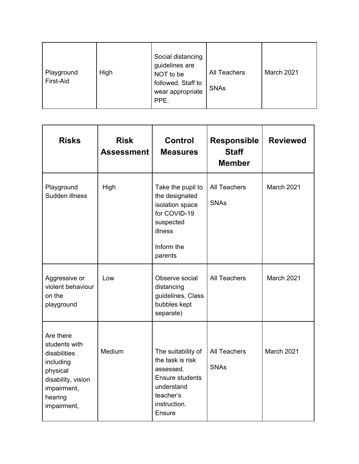| Playground<br>First-Aid | High | Social distancing<br>guidelines are<br>NOT to be<br>followed. Staff to<br>wear appropriate<br>PPE. | <b>All Teachers</b><br><b>SNAs</b> | March 2021 |
|-------------------------|------|----------------------------------------------------------------------------------------------------|------------------------------------|------------|
|-------------------------|------|----------------------------------------------------------------------------------------------------|------------------------------------|------------|

| <b>Risks</b>                                                                                                                       | <b>Risk</b><br><b>Assessment</b> | <b>Control</b><br><b>Measures</b>                                                                                                  | <b>Responsible</b><br><b>Staff</b><br><b>Member</b> | <b>Reviewed</b>   |
|------------------------------------------------------------------------------------------------------------------------------------|----------------------------------|------------------------------------------------------------------------------------------------------------------------------------|-----------------------------------------------------|-------------------|
| Playground<br>Sudden illness                                                                                                       | High                             | Take the pupil to<br>the designated<br>isolation space<br>for COVID-19<br>suspected<br>illness<br>Inform the<br>parents            | <b>All Teachers</b><br><b>SNAs</b>                  | <b>March 2021</b> |
| Aggressive or<br>violent behaviour<br>on the<br>playground                                                                         | Low                              | Observe social<br>distancing<br>guidelines, Class<br>bubbles kept<br>separate)                                                     | <b>All Teachers</b>                                 | March 2021        |
| Are there<br>students with<br>disabilities<br>including<br>physical<br>disability, vision<br>impairment,<br>hearing<br>impairment, | Medium                           | The suitability of<br>the task is risk<br>assessed.<br><b>Ensure students</b><br>understand<br>teacher's<br>instruction.<br>Ensure | <b>All Teachers</b><br><b>SNAs</b>                  | March 2021        |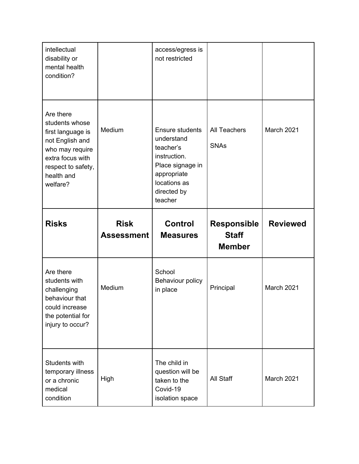| intellectual<br>disability or<br>mental health<br>condition?                                                                                               |                   | access/egress is<br>not restricted                                                                                                             |                                    |                 |
|------------------------------------------------------------------------------------------------------------------------------------------------------------|-------------------|------------------------------------------------------------------------------------------------------------------------------------------------|------------------------------------|-----------------|
| Are there<br>students whose<br>first language is<br>not English and<br>who may require<br>extra focus with<br>respect to safety,<br>health and<br>welfare? | Medium            | <b>Ensure students</b><br>understand<br>teacher's<br>instruction.<br>Place signage in<br>appropriate<br>locations as<br>directed by<br>teacher | <b>All Teachers</b><br><b>SNAs</b> | March 2021      |
| <b>Risks</b>                                                                                                                                               | <b>Risk</b>       | <b>Control</b>                                                                                                                                 | <b>Responsible</b>                 | <b>Reviewed</b> |
|                                                                                                                                                            | <b>Assessment</b> | <b>Measures</b>                                                                                                                                | <b>Staff</b><br><b>Member</b>      |                 |
| Are there<br>students with<br>challenging<br>behaviour that<br>could increase<br>the potential for<br>injury to occur?                                     | Medium            | School<br>Behaviour policy<br>in place                                                                                                         | Principal                          | March 2021      |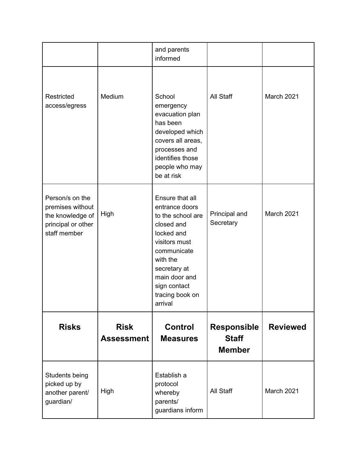|                                                                                               |                                  | and parents<br>informed                                                                                                                                                                                       |                                                     |                 |
|-----------------------------------------------------------------------------------------------|----------------------------------|---------------------------------------------------------------------------------------------------------------------------------------------------------------------------------------------------------------|-----------------------------------------------------|-----------------|
| Restricted<br>access/egress                                                                   | Medium                           | School<br>emergency<br>evacuation plan<br>has been<br>developed which<br>covers all areas,<br>processes and<br>identifies those<br>people who may<br>be at risk                                               | All Staff                                           | March 2021      |
| Person/s on the<br>premises without<br>the knowledge of<br>principal or other<br>staff member | High                             | Ensure that all<br>entrance doors<br>to the school are<br>closed and<br>locked and<br>visitors must<br>communicate<br>with the<br>secretary at<br>main door and<br>sign contact<br>tracing book on<br>arrival | Principal and<br>Secretary                          | March 2021      |
| <b>Risks</b>                                                                                  | <b>Risk</b><br><b>Assessment</b> | <b>Control</b><br><b>Measures</b>                                                                                                                                                                             | <b>Responsible</b><br><b>Staff</b><br><b>Member</b> | <b>Reviewed</b> |
| Students being<br>picked up by<br>another parent/<br>guardian/                                | High                             | Establish a<br>protocol<br>whereby<br>parents/<br>guardians inform                                                                                                                                            | All Staff                                           | March 2021      |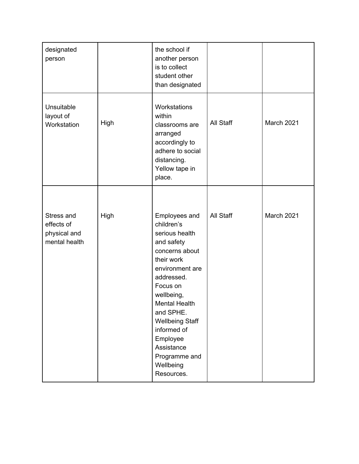| designated<br>person                                      |      | the school if<br>another person<br>is to collect<br>student other<br>than designated                                                                                                                                                                                                                       |           |            |
|-----------------------------------------------------------|------|------------------------------------------------------------------------------------------------------------------------------------------------------------------------------------------------------------------------------------------------------------------------------------------------------------|-----------|------------|
| Unsuitable<br>layout of<br>Workstation                    | High | Workstations<br>within<br>classrooms are<br>arranged<br>accordingly to<br>adhere to social<br>distancing.<br>Yellow tape in<br>place.                                                                                                                                                                      | All Staff | March 2021 |
| Stress and<br>effects of<br>physical and<br>mental health | High | Employees and<br>children's<br>serious health<br>and safety<br>concerns about<br>their work<br>environment are<br>addressed.<br>Focus on<br>wellbeing,<br><b>Mental Health</b><br>and SPHE.<br><b>Wellbeing Staff</b><br>informed of<br>Employee<br>Assistance<br>Programme and<br>Wellbeing<br>Resources. | All Staff | March 2021 |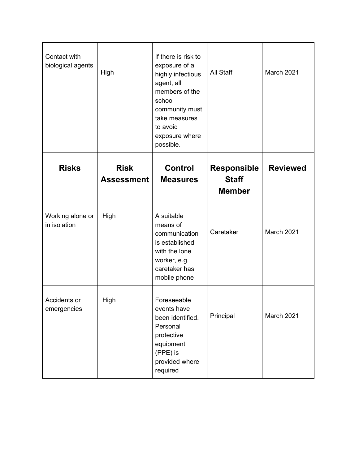| Contact with<br>biological agents | High                             | If there is risk to<br>exposure of a<br>highly infectious<br>agent, all<br>members of the<br>school<br>community must<br>take measures | All Staff                                           | March 2021      |
|-----------------------------------|----------------------------------|----------------------------------------------------------------------------------------------------------------------------------------|-----------------------------------------------------|-----------------|
|                                   |                                  | to avoid<br>exposure where<br>possible.                                                                                                |                                                     |                 |
| <b>Risks</b>                      | <b>Risk</b><br><b>Assessment</b> | <b>Control</b><br><b>Measures</b>                                                                                                      | <b>Responsible</b><br><b>Staff</b><br><b>Member</b> | <b>Reviewed</b> |
| Working alone or<br>in isolation  | High                             | A suitable<br>means of<br>communication<br>is established<br>with the lone<br>worker, e.g.<br>caretaker has<br>mobile phone            | Caretaker                                           | March 2021      |
| Accidents or<br>emergencies       | High                             | Foreseeable<br>events have<br>been identified.<br>Personal<br>protective<br>equipment<br>(PPE) is<br>provided where<br>required        | Principal                                           | March 2021      |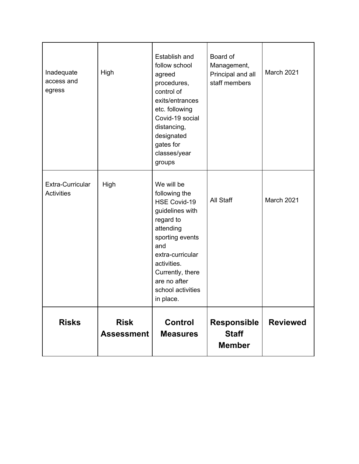| Inadequate<br>access and<br>egress    | High                             | Establish and<br>follow school<br>agreed<br>procedures,<br>control of<br>exits/entrances<br>etc. following<br>Covid-19 social<br>distancing,<br>designated<br>gates for<br>classes/year<br>groups                                  | Board of<br>Management,<br>Principal and all<br>staff members | March 2021      |
|---------------------------------------|----------------------------------|------------------------------------------------------------------------------------------------------------------------------------------------------------------------------------------------------------------------------------|---------------------------------------------------------------|-----------------|
| Extra-Curricular<br><b>Activities</b> | High                             | We will be<br>following the<br><b>HSE Covid-19</b><br>guidelines with<br>regard to<br>attending<br>sporting events<br>and<br>extra-curricular<br>activities.<br>Currently, there<br>are no after<br>school activities<br>in place. | All Staff                                                     | March 2021      |
| <b>Risks</b>                          | <b>Risk</b><br><b>Assessment</b> | <b>Control</b><br><b>Measures</b>                                                                                                                                                                                                  | <b>Responsible</b><br><b>Staff</b><br><b>Member</b>           | <b>Reviewed</b> |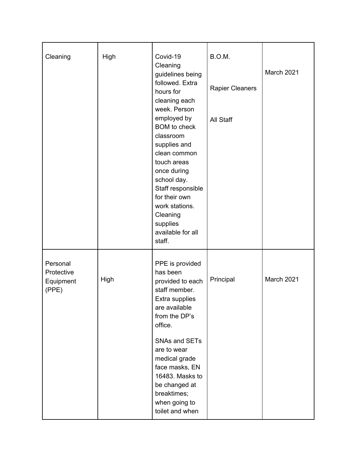| Cleaning                                     | High | Covid-19                                                                                                                                                      | B.O.M.                 |            |
|----------------------------------------------|------|---------------------------------------------------------------------------------------------------------------------------------------------------------------|------------------------|------------|
|                                              |      | Cleaning<br>guidelines being<br>followed. Extra                                                                                                               |                        | March 2021 |
|                                              |      | hours for<br>cleaning each<br>week. Person                                                                                                                    | <b>Rapier Cleaners</b> |            |
|                                              |      | employed by<br><b>BOM</b> to check<br>classroom                                                                                                               | All Staff              |            |
|                                              |      | supplies and<br>clean common<br>touch areas                                                                                                                   |                        |            |
|                                              |      | once during<br>school day.<br>Staff responsible                                                                                                               |                        |            |
|                                              |      | for their own<br>work stations.<br>Cleaning                                                                                                                   |                        |            |
|                                              |      | supplies<br>available for all<br>staff.                                                                                                                       |                        |            |
| Personal<br>Protective<br>Equipment<br>(PPE) | High | PPE is provided<br>has been<br>provided to each<br>staff member.<br>Extra supplies<br>are available<br>from the DP's<br>office.                               | Principal              | March 2021 |
|                                              |      | <b>SNAs and SETs</b><br>are to wear<br>medical grade<br>face masks, EN<br>16483. Masks to<br>be changed at<br>breaktimes;<br>when going to<br>toilet and when |                        |            |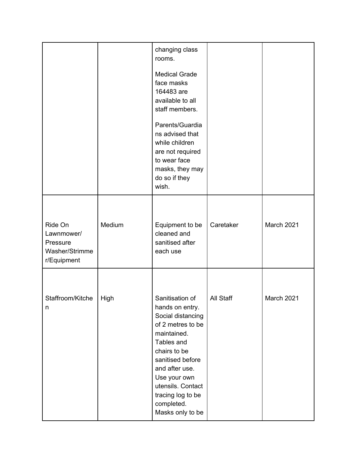|                                                                    |        | changing class<br>rooms.                                                                                                                                                                                                                                    |           |            |
|--------------------------------------------------------------------|--------|-------------------------------------------------------------------------------------------------------------------------------------------------------------------------------------------------------------------------------------------------------------|-----------|------------|
|                                                                    |        | <b>Medical Grade</b><br>face masks<br>164483 are<br>available to all<br>staff members.                                                                                                                                                                      |           |            |
|                                                                    |        | Parents/Guardia<br>ns advised that<br>while children<br>are not required<br>to wear face<br>masks, they may<br>do so if they<br>wish.                                                                                                                       |           |            |
|                                                                    |        |                                                                                                                                                                                                                                                             |           |            |
| Ride On<br>Lawnmower/<br>Pressure<br>Washer/Strimme<br>r/Equipment | Medium | Equipment to be<br>cleaned and<br>sanitised after<br>each use                                                                                                                                                                                               | Caretaker | March 2021 |
| Staffroom/Kitche<br>n                                              | High   | Sanitisation of<br>hands on entry.<br>Social distancing<br>of 2 metres to be<br>maintained.<br>Tables and<br>chairs to be<br>sanitised before<br>and after use.<br>Use your own<br>utensils. Contact<br>tracing log to be<br>completed.<br>Masks only to be | All Staff | March 2021 |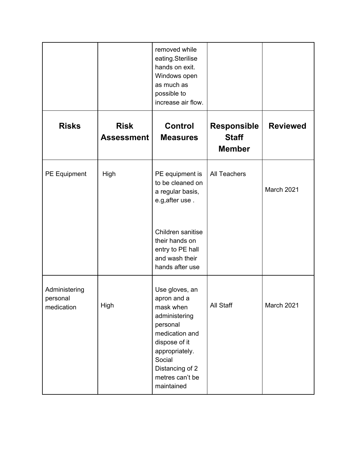|                                         |                                  | removed while<br>eating.Sterilise<br>hands on exit.<br>Windows open<br>as much as<br>possible to<br>increase air flow.                                                                     |                                                     |                 |
|-----------------------------------------|----------------------------------|--------------------------------------------------------------------------------------------------------------------------------------------------------------------------------------------|-----------------------------------------------------|-----------------|
| <b>Risks</b>                            | <b>Risk</b><br><b>Assessment</b> | <b>Control</b><br><b>Measures</b>                                                                                                                                                          | <b>Responsible</b><br><b>Staff</b><br><b>Member</b> | <b>Reviewed</b> |
| PE Equipment                            | High                             | PE equipment is<br>to be cleaned on<br>a regular basis,<br>e.g, after use.                                                                                                                 | <b>All Teachers</b>                                 | March 2021      |
|                                         |                                  | Children sanitise<br>their hands on<br>entry to PE hall<br>and wash their<br>hands after use                                                                                               |                                                     |                 |
| Administering<br>personal<br>medication | High                             | Use gloves, an<br>apron and a<br>mask when<br>administering<br>personal<br>medication and<br>dispose of it<br>appropriately.<br>Social<br>Distancing of 2<br>metres can't be<br>maintained | All Staff                                           | March 2021      |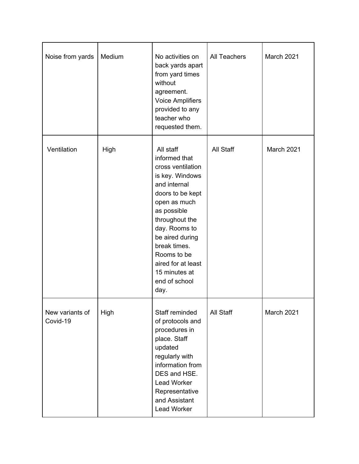| Noise from yards            | Medium | No activities on<br>back yards apart<br>from yard times<br>without<br>agreement.<br><b>Voice Amplifiers</b><br>provided to any<br>teacher who<br>requested them.                                                                                                                           | <b>All Teachers</b> | March 2021 |
|-----------------------------|--------|--------------------------------------------------------------------------------------------------------------------------------------------------------------------------------------------------------------------------------------------------------------------------------------------|---------------------|------------|
| Ventilation                 | High   | All staff<br>informed that<br>cross ventilation<br>is key. Windows<br>and internal<br>doors to be kept<br>open as much<br>as possible<br>throughout the<br>day. Rooms to<br>be aired during<br>break times.<br>Rooms to be<br>aired for at least<br>15 minutes at<br>end of school<br>day. | All Staff           | March 2021 |
| New variants of<br>Covid-19 | High   | Staff reminded<br>of protocols and<br>procedures in<br>place. Staff<br>updated<br>regularly with<br>information from<br>DES and HSE.<br>Lead Worker<br>Representative<br>and Assistant<br>Lead Worker                                                                                      | All Staff           | March 2021 |